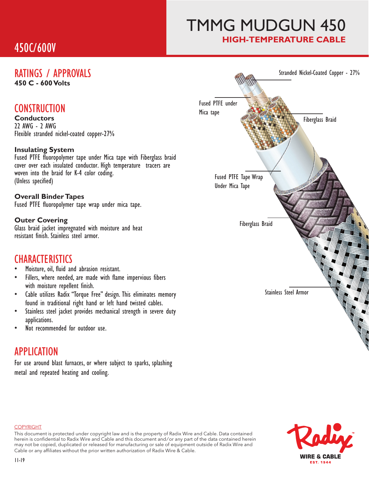# 450C/600V

# TMMG MUDGUN 450 **HIGH-TEMPERATURE CABLE**

# **450°C - 600 Volts**

## **CONSTRUCTION**

**Conductors** 22 AWG - 2 AWG Flexible stranded nickel-coated copper-27%

### **Insulating System**

Fused PTFE fluoropolymer tape under Mica tape with Fiberglass braid cover over each insulated conductor. High temperature tracers are woven into the braid for K-4 color coding. (Unless specified)

#### **Overall Binder Tapes**

Fused PTFE fluoropolymer tape wrap under mica tape.

#### **Outer Covering**

Glass braid jacket impregnated with moisture and heat resistant finish. Stainless steel armor.

## **CHARACTERISTICS**

- Moisture, oil, fluid and abrasion resistant.
- Fillers, where needed, are made with flame impervious fibers with moisture repellent finish.
- Cable utilizes Radix "Torque Free" design. This eliminates memory found in traditional right hand or left hand twisted cables.
- Stainless steel jacket provides mechanical strength in severe duty applications.
- Not recommended for outdoor use.

## APPLICATION

For use around blast furnaces, or where subject to sparks, splashing metal and repeated heating and cooling.





#### **COPYRIGHT**

This document is protected under copyright law and is the property of Radix Wire and Cable. Data contained herein is confidential to Radix Wire and Cable and this document and / or any part of the data contained herein may not be copied, duplicated or released for manufacturing or sale of equipment outside of Radix Wire and Cable or any affiliates without the prior written authorization of Radix Wire & Cable.